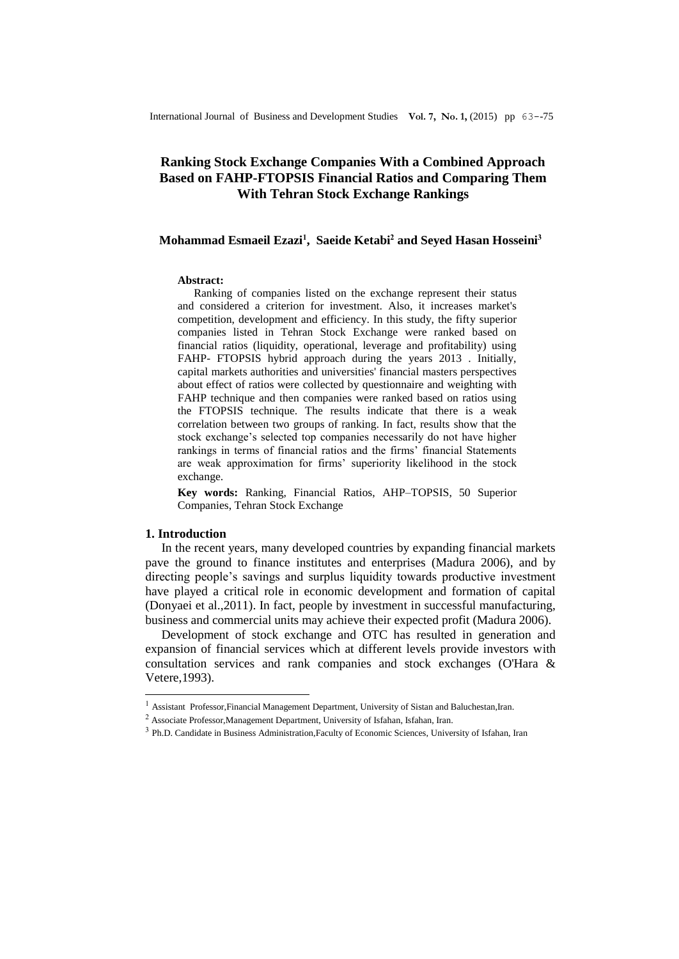# **Ranking Stock Exchange Companies With a Combined Approach Based on FAHP-FTOPSIS Financial Ratios and Comparing Them With Tehran Stock Exchange Rankings**

## **Mohammad Esmaeil Ezazi<sup>1</sup> , Saeide Ketabi<sup>2</sup> and Seyed Hasan Hosseini<sup>3</sup>**

#### **Abstract:**

Ranking of companies listed on the exchange represent their status and considered a criterion for investment. Also, it increases market's competition, development and efficiency. In this study, the fifty superior companies listed in Tehran Stock Exchange were ranked based on financial ratios (liquidity, operational, leverage and profitability) using FAHP- FTOPSIS hybrid approach during the years 2013 . Initially, capital markets authorities and universities' financial masters perspectives about effect of ratios were collected by questionnaire and weighting with FAHP technique and then companies were ranked based on ratios using the FTOPSIS technique. The results indicate that there is a weak correlation between two groups of ranking. In fact, results show that the stock exchange's selected top companies necessarily do not have higher rankings in terms of financial ratios and the firms' financial Statements are weak approximation for firms' superiority likelihood in the stock exchange.

**Key words:** Ranking, Financial Ratios, AHP–TOPSIS, 50 Superior Companies, Tehran Stock Exchange

## **1. Introduction**

-

In the recent years, many developed countries by expanding financial markets pave the ground to finance institutes and enterprises (Madura 2006), and by directing people's savings and surplus liquidity towards productive investment have played a critical role in economic development and formation of capital (Donyaei et al.,2011). In fact, people by investment in successful manufacturing, business and commercial units may achieve their expected profit (Madura 2006).

Development of stock exchange and OTC has resulted in generation and expansion of financial services which at different levels provide investors with consultation services and rank companies and stock exchanges (O'Hara & Vetere,1993).

 $1$  Assistant Professor, Financial Management Department, University of Sistan and Baluchestan, Iran.

 $^2$  Associate Professor,<br>Management Department, University of Isfahan, Isfahan, Iran.

<sup>&</sup>lt;sup>3</sup> Ph.D. Candidate in Business Administration, Faculty of Economic Sciences, University of Isfahan, Iran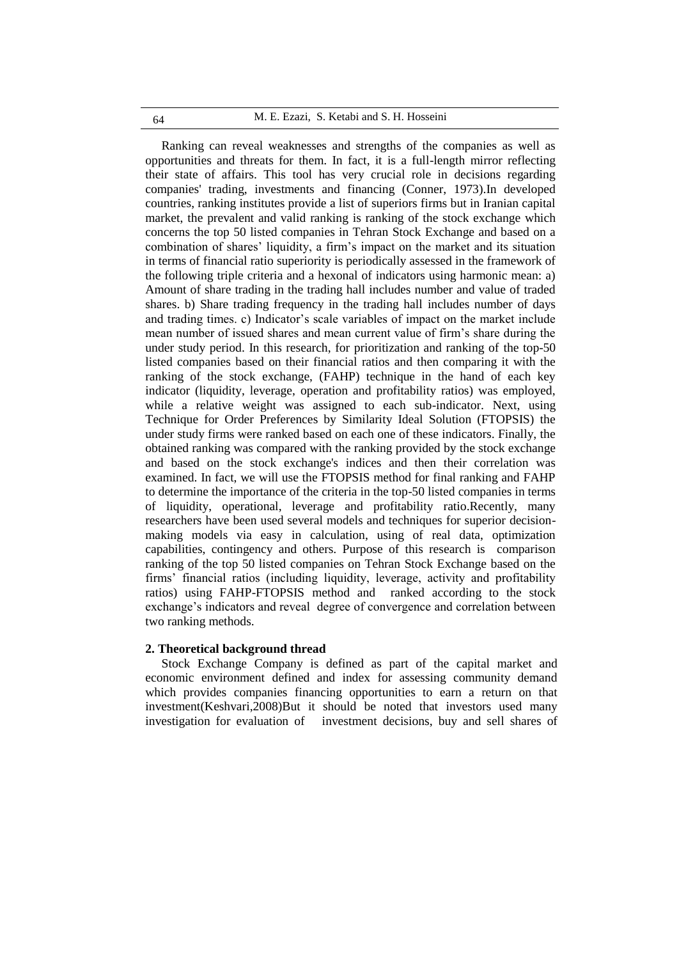#### M. E. Ezazi, S. Ketabi and S. H. Hosseini 64

Ranking can reveal weaknesses and strengths of the companies as well as opportunities and threats for them. In fact, it is a full-length mirror reflecting their state of affairs. This tool has very crucial role in decisions regarding companies' trading, investments and financing (Conner, 1973).In developed countries, ranking institutes provide a list of superiors firms but in Iranian capital market, the prevalent and valid ranking is ranking of the stock exchange which concerns the top 50 listed companies in Tehran Stock Exchange and based on a combination of shares' liquidity, a firm's impact on the market and its situation in terms of financial ratio superiority is periodically assessed in the framework of the following triple criteria and a hexonal of indicators using harmonic mean: a) Amount of share trading in the trading hall includes number and value of traded shares. b) Share trading frequency in the trading hall includes number of days and trading times. c) Indicator's scale variables of impact on the market include mean number of issued shares and mean current value of firm's share during the under study period. In this research, for prioritization and ranking of the top-50 listed companies based on their financial ratios and then comparing it with the ranking of the stock exchange, (FAHP) technique in the hand of each key indicator (liquidity, leverage, operation and profitability ratios) was employed, while a relative weight was assigned to each sub-indicator. Next, using Technique for Order Preferences by Similarity Ideal Solution (FTOPSIS) the under study firms were ranked based on each one of these indicators. Finally, the obtained ranking was compared with the ranking provided by the stock exchange and based on the stock exchange's indices and then their correlation was examined. In fact, we will use the FTOPSIS method for final ranking and FAHP to determine the importance of the criteria in the top-50 listed companies in terms of liquidity, operational, leverage and profitability ratio.Recently, many researchers have been used several models and techniques for superior decisionmaking models via easy in calculation, using of real data, optimization capabilities, contingency and others. Purpose of this research is comparison ranking of the top 50 listed companies on Tehran Stock Exchange based on the firms' financial ratios (including liquidity, leverage, activity and profitability ratios) using FAHP-FTOPSIS method and ranked according to the stock exchange's indicators and reveal degree of convergence and correlation between two ranking methods.

#### **2. Theoretical background thread**

Stock Exchange Company is defined as part of the capital market and economic environment defined and index for assessing community demand which provides companies financing opportunities to earn a return on that investment(Keshvari,2008)But it should be noted that investors used many investigation for evaluation of investment decisions, buy and sell shares of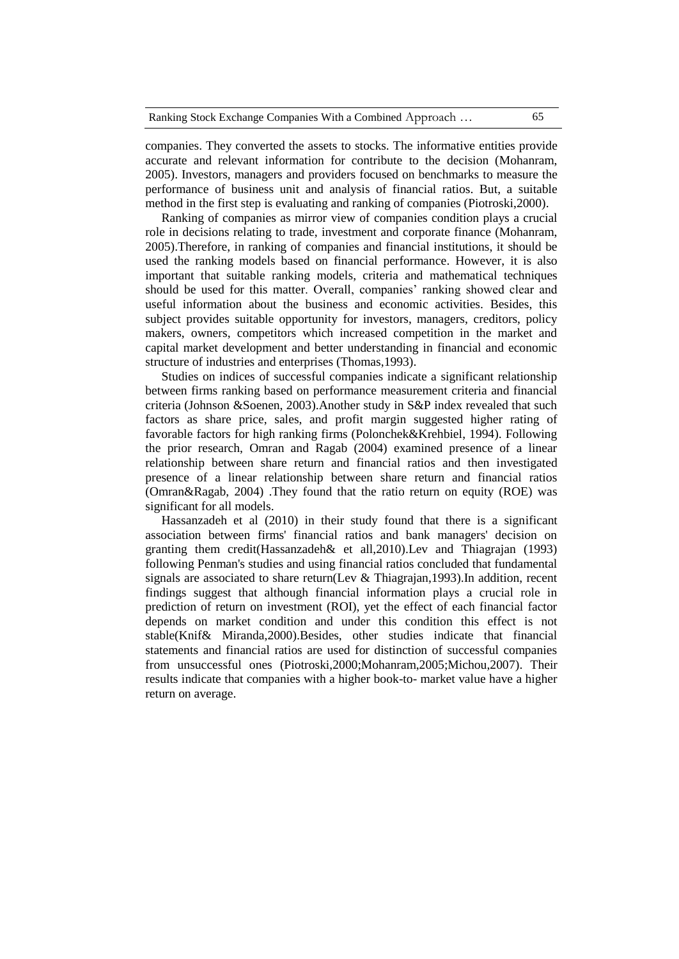companies. They converted the assets to stocks. The informative entities provide accurate and relevant information for contribute to the decision (Mohanram, 2005). Investors, managers and providers focused on benchmarks to measure the performance of business unit and analysis of financial ratios. But, a suitable method in the first step is evaluating and ranking of companies (Piotroski,2000).

Ranking of companies as mirror view of companies condition plays a crucial role in decisions relating to trade, investment and corporate finance (Mohanram, 2005).Therefore, in ranking of companies and financial institutions, it should be used the ranking models based on financial performance. However, it is also important that suitable ranking models, criteria and mathematical techniques should be used for this matter. Overall, companies' ranking showed clear and useful information about the business and economic activities. Besides, this subject provides suitable opportunity for investors, managers, creditors, policy makers, owners, competitors which increased competition in the market and capital market development and better understanding in financial and economic structure of industries and enterprises (Thomas,1993).

Studies on indices of successful companies indicate a significant relationship between firms ranking based on performance measurement criteria and financial criteria (Johnson &Soenen, 2003).Another study in S&P index revealed that such factors as share price, sales, and profit margin suggested higher rating of favorable factors for high ranking firms (Polonchek&Krehbiel, 1994). Following the prior research, Omran and Ragab (2004) examined presence of a linear relationship between share return and financial ratios and then investigated presence of a linear relationship between share return and financial ratios (Omran&Ragab, 2004) .They found that the ratio return on equity (ROE) was significant for all models.

Hassanzadeh et al (2010) in their study found that there is a significant association between firms' financial ratios and bank managers' decision on granting them credit(Hassanzadeh& et all,2010).Lev and Thiagrajan (1993) following Penman's studies and using financial ratios concluded that fundamental signals are associated to share return(Lev & Thiagrajan,1993).In addition, recent findings suggest that although financial information plays a crucial role in prediction of return on investment (ROI), yet the effect of each financial factor depends on market condition and under this condition this effect is not stable(Knif& Miranda,2000).Besides, other studies indicate that financial statements and financial ratios are used for distinction of successful companies from unsuccessful ones (Piotroski,2000;Mohanram,2005;Michou,2007). Their results indicate that companies with a higher book-to- market value have a higher return on average.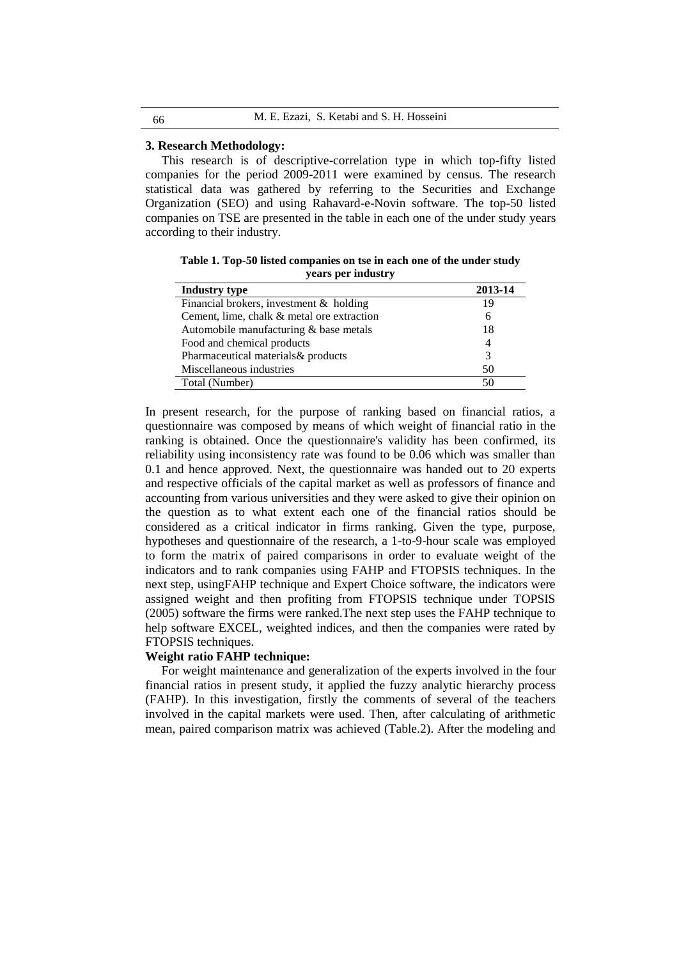| 66 | M. E. Ezazi, S. Ketabi and S. H. Hosseini |
|----|-------------------------------------------|
|----|-------------------------------------------|

#### **3. Research Methodology:**

This research is of descriptive-correlation type in which top-fifty listed companies for the period 2009-2011 were examined by census. The research statistical data was gathered by referring to the Securities and Exchange Organization (SEO) and using Rahavard-e-Novin software. The top-50 listed companies on TSE are presented in the table in each one of the under study years according to their industry.

**Table 1. Top-50 listed companies on tse in each one of the under study years per industry**

| <b>Industry type</b>                       | 2013-14 |
|--------------------------------------------|---------|
| Financial brokers, investment & holding    | 19      |
| Cement, lime, chalk & metal ore extraction | 6       |
| Automobile manufacturing & base metals     | 18      |
| Food and chemical products                 | 4       |
| Pharmaceutical materials& products         | 3       |
| Miscellaneous industries                   | 50      |
| Total (Number)                             | 50      |

In present research, for the purpose of ranking based on financial ratios, a questionnaire was composed by means of which weight of financial ratio in the ranking is obtained. Once the questionnaire's validity has been confirmed, its reliability using inconsistency rate was found to be 0.06 which was smaller than 0.1 and hence approved. Next, the questionnaire was handed out to 20 experts and respective officials of the capital market as well as professors of finance and accounting from various universities and they were asked to give their opinion on the question as to what extent each one of the financial ratios should be considered as a critical indicator in firms ranking. Given the type, purpose, hypotheses and questionnaire of the research, a 1-to-9-hour scale was employed to form the matrix of paired comparisons in order to evaluate weight of the indicators and to rank companies using FAHP and FTOPSIS techniques. In the next step, usingFAHP technique and Expert Choice software, the indicators were assigned weight and then profiting from FTOPSIS technique under TOPSIS (2005) software the firms were ranked.The next step uses the FAHP technique to help software EXCEL, weighted indices, and then the companies were rated by FTOPSIS techniques.

# **Weight ratio FAHP technique:**

For weight maintenance and generalization of the experts involved in the four financial ratios in present study, it applied the fuzzy analytic hierarchy process (FAHP). In this investigation, firstly the comments of several of the teachers involved in the capital markets were used. Then, after calculating of arithmetic mean, paired comparison matrix was achieved (Table.2). After the modeling and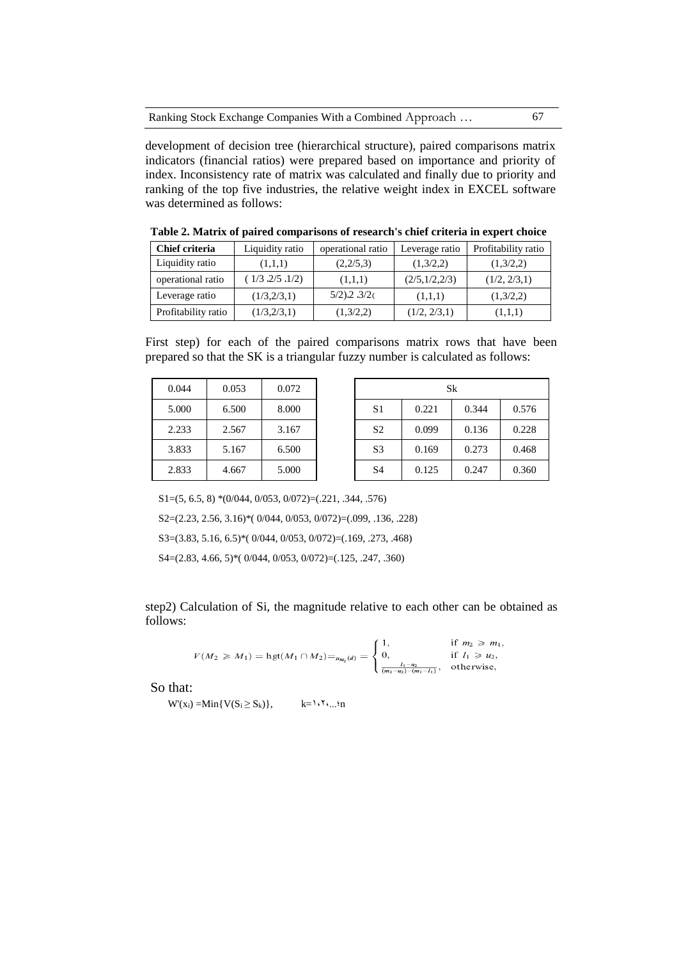|  |  | Ranking Stock Exchange Companies With a Combined Approach |  |
|--|--|-----------------------------------------------------------|--|
|--|--|-----------------------------------------------------------|--|

development of decision tree (hierarchical structure), paired comparisons matrix indicators (financial ratios) were prepared based on importance and priority of index. Inconsistency rate of matrix was calculated and finally due to priority and ranking of the top five industries, the relative weight index in EXCEL software was determined as follows:

**Table 2. Matrix of paired comparisons of research's chief criteria in expert choice**

| Chief criteria      | Liquidity ratio | operational ratio | Leverage ratio | Profitability ratio |
|---------------------|-----------------|-------------------|----------------|---------------------|
| Liquidity ratio     | (1,1,1)         | (2,2/5,3)         | (1,3/2,2)      | (1,3/2,2)           |
| operational ratio   | (1/3, 2/5, 1/2) | (1,1,1)           | (2/5,1/2,2/3)  | (1/2, 2/3, 1)       |
| Leverage ratio      | (1/3,2/3,1)     | $5/2$ ).2 $3/2$   | (1,1,1)        | (1,3/2,2)           |
| Profitability ratio | (1/3,2/3,1)     | (1,3/2,2)         | (1/2, 2/3, 1)  | (1,1,1)             |

First step) for each of the paired comparisons matrix rows that have been prepared so that the SK is a triangular fuzzy number is calculated as follows:

| 0.044 | 0.053 | 0.072 |                | Sk    |  |
|-------|-------|-------|----------------|-------|--|
| 5.000 | 6.500 | 8.000 | S <sub>1</sub> | 0.221 |  |
| 2.233 | 2.567 | 3.167 | S <sub>2</sub> | 0.099 |  |
| 3.833 | 5.167 | 6.500 | S <sub>3</sub> | 0.169 |  |
| 2.833 | 4.667 | 5.000 | S <sub>4</sub> | 0.125 |  |

| 0.044 | 0.053 | 0.072 | <b>Sk</b>      |       |       |       |
|-------|-------|-------|----------------|-------|-------|-------|
| 5.000 | 6.500 | 8.000 | S <sub>1</sub> | 0.221 | 0.344 | 0.576 |
| 2.233 | 2.567 | 3.167 | S <sub>2</sub> | 0.099 | 0.136 | 0.228 |
| 3.833 | 5.167 | 6.500 | S <sub>3</sub> | 0.169 | 0.273 | 0.468 |
| 2.833 | 4.667 | 5.000 | S <sub>4</sub> | 0.125 | 0.247 | 0.360 |

S1=(5, 6.5, 8) \*(0/044, 0/053, 0/072)=(.221, .344, .576)

S2=(2.23, 2.56, 3.16)\*( 0/044, 0/053, 0/072)=(.099, .136, .228)

S3=(3.83, 5.16, 6.5)\*( 0/044, 0/053, 0/072)=(.169, .273, .468)

S4=(2.83, 4.66, 5)\*( 0/044, 0/053, 0/072)=(.125, .247, .360)

step2) Calculation of Si, the magnitude relative to each other can be obtained as follows:

$$
V(M_2 \geq M_1) = \text{hgt}(M_1 \cap M_2) = \mu_{M_2}(d) = \begin{cases} 1, & \text{if } m_2 \geq m_1, \\ 0, & \text{if } l_1 \geq u_2, \\ \frac{l_1 - u_2}{(m_2 - u_2) - (m_1 - l_1)}, & \text{otherwise,} \end{cases}
$$

So that:

 $W'(x_i) = Min\{V(S_i \ge S_k)\}, \qquad k = \{i, 1, \ldots, n\}$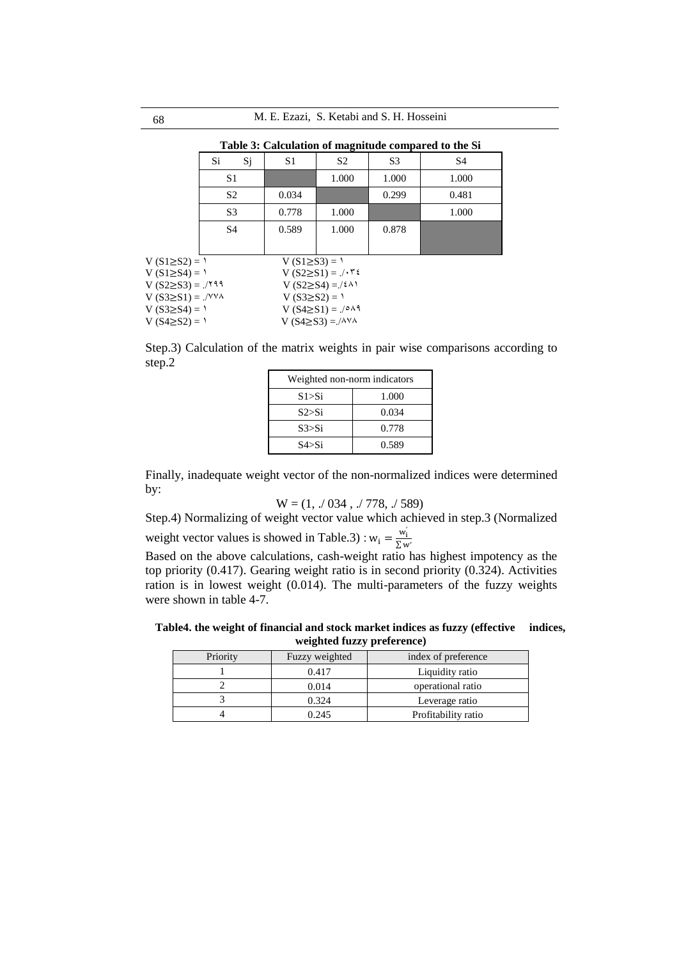**Table 3: Calculation of magnitude compared to the Si**

|                            | Si.            | Sj                                    | S1                  | S <sub>2</sub>                           | S <sub>3</sub> | S <sub>4</sub> |
|----------------------------|----------------|---------------------------------------|---------------------|------------------------------------------|----------------|----------------|
|                            | S1             |                                       |                     | 1.000                                    | 1.000          | 1.000          |
|                            | S <sub>2</sub> |                                       | 0.034               |                                          | 0.299          | 0.481          |
|                            | S <sub>3</sub> |                                       | 0.778               | 1.000                                    |                | 1.000          |
|                            | S <sub>4</sub> |                                       | 0.589               | 1.000                                    | 0.878          |                |
|                            |                |                                       |                     |                                          |                |                |
| $V(S1≥S2) = Y$             |                |                                       | $V(S1 \geq S3) = 1$ |                                          |                |                |
| $V(S1 \geq S4) = 1$        |                |                                       |                     | $V (S2 \geq S1) = \sqrt{575}$            |                |                |
| $V (S2 \geq S3) =$ ./199   |                |                                       |                     | V (S2>S4) = /٤٨١                         |                |                |
| $V(S3\geq S1) =$ ./YYA     |                | $V (S3 \ge S2) = 1$                   |                     |                                          |                |                |
| V (S3≥S4) = $\binom{1}{1}$ |                | $V (S4\geq S1) =$ ./ $\circ \wedge$ 9 |                     |                                          |                |                |
| $V(S4≥S2) = 1$             |                |                                       |                     | V $(S4\geq S3) =$ ./ $\wedge$ Y $\wedge$ |                |                |

Step.3) Calculation of the matrix weights in pair wise comparisons according to step.2

| Weighted non-norm indicators |       |  |  |  |
|------------------------------|-------|--|--|--|
| S1>Si                        | 1.000 |  |  |  |
| S2>Si                        | 0.034 |  |  |  |
| S3 > Si                      | 0.778 |  |  |  |
| S4 > Si                      | 0.589 |  |  |  |

Finally, inadequate weight vector of the non-normalized indices were determined by:

$$
W = (1, 0.034, 0.778, 0.7589)
$$

Step.4) Normalizing of weight vector value which achieved in step.3 (Normalized

weight vector values is showed in Table.3) :  $w_i = \frac{w_i}{\sum w_i}$ ∑ w′

Based on the above calculations, cash-weight ratio has highest impotency as the top priority (0.417). Gearing weight ratio is in second priority (0.324). Activities ration is in lowest weight (0.014). The multi-parameters of the fuzzy weights were shown in table 4-7.

**Table4. the weight of financial and stock market indices as fuzzy (effective indices, weighted fuzzy preference)**

| Priority | Fuzzy weighted | index of preference |
|----------|----------------|---------------------|
|          | 0.417          | Liquidity ratio     |
|          | 0.014          | operational ratio   |
|          | 0.324          | Leverage ratio      |
|          | 0.245          | Profitability ratio |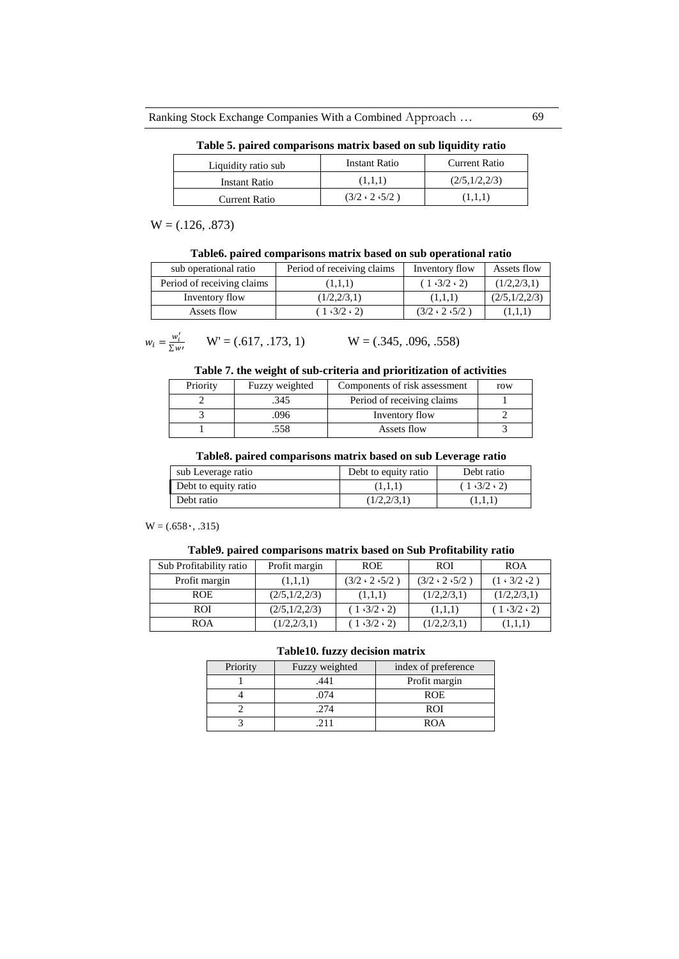**Table 5. paired comparisons matrix based on sub liquidity ratio**

| Liquidity ratio sub  | Instant Ratio             | <b>Current Ratio</b> |
|----------------------|---------------------------|----------------------|
| Instant Ratio        | (1,1,1)                   | (2/5,1/2,2/3)        |
| <b>Current Ratio</b> | $(3/2 \cdot 2 \cdot 5/2)$ | (1,1,1)              |

 $W = (.126, .873)$ 

| Table6. paired comparisons matrix based on sub operational ratio |  |  |  |  |  |
|------------------------------------------------------------------|--|--|--|--|--|
|------------------------------------------------------------------|--|--|--|--|--|

| sub operational ratio      | Period of receiving claims | Inventory flow            | Assets flow   |
|----------------------------|----------------------------|---------------------------|---------------|
| Period of receiving claims | (1,1,1)                    | (1.3/2.2)                 | (1/2,2/3,1)   |
| Inventory flow             | (1/2,2/3,1)                | (1,1,1)                   | (2/5,1/2,2/3) |
| Assets flow                | (1.3/2.2)                  | $(3/2 \cdot 2 \cdot 5/2)$ | (1,1,1)       |

$$
w_i = \frac{w'_i}{\Sigma w'} \qquad \mathbf{W'} = (.617, .173, 1) \qquad \qquad \mathbf{W} = (.345, .096, .558)
$$

## **Table 7. the weight of sub-criteria and prioritization of activities**

| Priority | Fuzzy weighted | Components of risk assessment | row |
|----------|----------------|-------------------------------|-----|
|          | .345           | Period of receiving claims    |     |
|          | .096           | Inventory flow                |     |
|          | .558           | Assets flow                   |     |

#### **Table8. paired comparisons matrix based on sub Leverage ratio**

| sub Leverage ratio   | Debt to equity ratio | Debt ratio |
|----------------------|----------------------|------------|
| Debt to equity ratio | (1,1,1)              | (1.3/2.2)  |
| Debt ratio           | (1/2,2/3,1)          | (1,1,1)    |

 $W = (.658, .315)$ 

# **Table9. paired comparisons matrix based on Sub Profitability ratio**

| Sub Profitability ratio | Profit margin | <b>ROE</b>                | <b>ROI</b>                | <b>ROA</b>              |
|-------------------------|---------------|---------------------------|---------------------------|-------------------------|
| Profit margin           | (1,1,1)       | $(3/2 \cdot 2 \cdot 5/2)$ | $(3/2 \cdot 2 \cdot 5/2)$ | $(1 \cdot 3/2 \cdot 2)$ |
| <b>ROE</b>              | (2/5,1/2,2/3) | (1,1,1)                   | (1/2,2/3,1)               | (1/2,2/3,1)             |
| <b>ROI</b>              | (2/5,1/2,2/3) | (1.3/2.2)                 | (1,1,1)                   | (1.3/2.2)               |
| <b>ROA</b>              | (1/2,2/3,1)   | 1.3/2.2                   | (1/2,2/3,1)               | (1,1,1)                 |

#### **Table10. fuzzy decision matrix**

| Priority | Fuzzy weighted | index of preference |
|----------|----------------|---------------------|
|          | .441           | Profit margin       |
|          | 074            | <b>ROE</b>          |
|          | .274           | <b>ROI</b>          |
|          |                | ROA                 |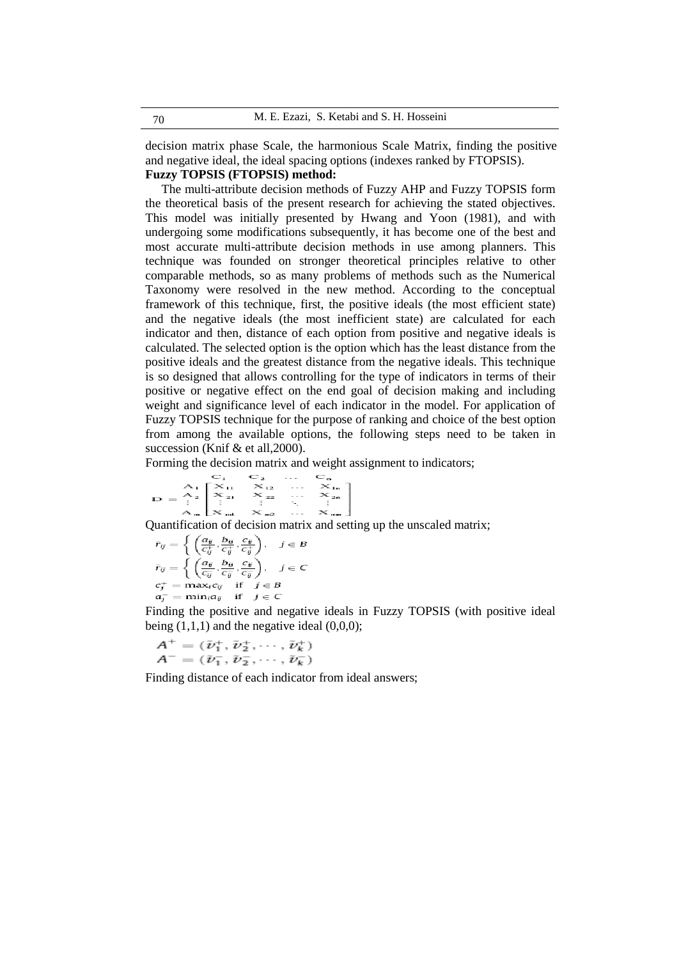decision matrix phase Scale, the harmonious Scale Matrix, finding the positive and negative ideal, the ideal spacing options (indexes ranked by FTOPSIS).

# **Fuzzy TOPSIS (FTOPSIS) method:**

The multi-attribute decision methods of Fuzzy AHP and Fuzzy TOPSIS form the theoretical basis of the present research for achieving the stated objectives. This model was initially presented by Hwang and Yoon (1981), and with undergoing some modifications subsequently, it has become one of the best and most accurate multi-attribute decision methods in use among planners. This technique was founded on stronger theoretical principles relative to other comparable methods, so as many problems of methods such as the Numerical Taxonomy were resolved in the new method. According to the conceptual framework of this technique, first, the positive ideals (the most efficient state) and the negative ideals (the most inefficient state) are calculated for each indicator and then, distance of each option from positive and negative ideals is calculated. The selected option is the option which has the least distance from the positive ideals and the greatest distance from the negative ideals. This technique is so designed that allows controlling for the type of indicators in terms of their positive or negative effect on the end goal of decision making and including weight and significance level of each indicator in the model. For application of Fuzzy TOPSIS technique for the purpose of ranking and choice of the best option from among the available options, the following steps need to be taken in succession (Knif & et all, 2000).

Forming the decision matrix and weight assignment to indicators;

$$
D = \begin{bmatrix} C_1 & C_2 & \cdots & C_n \\ A_1 & X_{12} & \cdots & X_{1n} \\ X_{21} & X_{22} & \cdots & X_{2n} \\ \vdots & \vdots & \vdots & \ddots & \vdots \\ A_m & X_{mi} & X_{m2} & \cdots & X_{mn} \end{bmatrix}
$$

Quantification of decision matrix and setting up the unscaled matrix;

$$
\begin{aligned}\n\tilde{r}_{ij} &= \left\{ \left( \frac{a_{ij}}{c_{ij}^+}, \frac{b_{ij}}{c_{ij}^+}, \frac{c_{ij}}{c_{ij}^+} \right), \quad j \in B \\
\tilde{r}_{ij} &= \left\{ \left( \frac{a_{ij}}{c_{ij}^-}, \frac{b_{ij}}{c_{ij}^-}, \frac{c_{ij}}{c_{ij}^-} \right), \quad j \in C \\
c_j^+ &= \max_i c_{ij} \quad \text{if} \quad j \in B \\
a_j^- &= \min_i a_{ij} \quad \text{if} \quad j \in C\n\end{aligned} \right.
$$

Finding the positive and negative ideals in Fuzzy TOPSIS (with positive ideal being  $(1,1,1)$  and the negative ideal  $(0,0,0)$ ;

$$
A^+ = (\tilde{\nu}_1^+, \tilde{\nu}_2^+, \cdots, \tilde{\nu}_k^+)
$$
  

$$
A^- = (\tilde{\nu}_1^-, \tilde{\nu}_2^-, \cdots, \tilde{\nu}_k^-)
$$

Finding distance of each indicator from ideal answers;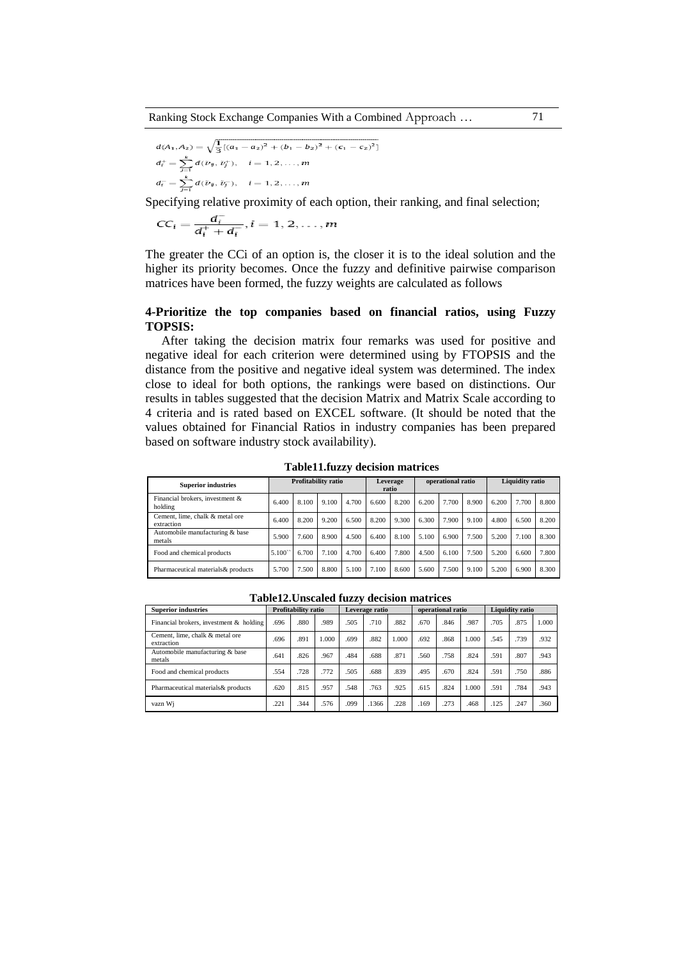$$
d(A_1, A_2) = \sqrt{\frac{1}{3} [(a_1 - a_2)^2 + (b_1 - b_2)^2 + (c_1 - c_2)^2]}
$$
  
\n
$$
d_i^+ = \sum_{j=1}^k d(\bar{\nu}_j, \bar{\nu}_j^+), \quad i = 1, 2, ..., m
$$
  
\n
$$
d_i^- = \sum_{j=1}^k d(\bar{\nu}_j, \bar{\nu}_j^-), \quad i = 1, 2, ..., m
$$

Specifying relative proximity of each option, their ranking, and final selection;

$$
CC_i = \frac{d_i^-}{d_i^+ + d_i^-}, i = 1, 2, \dots, m
$$

The greater the CCi of an option is, the closer it is to the ideal solution and the higher its priority becomes. Once the fuzzy and definitive pairwise comparison matrices have been formed, the fuzzy weights are calculated as follows

## **4-Prioritize the top companies based on financial ratios, using Fuzzy TOPSIS:**

After taking the decision matrix four remarks was used for positive and negative ideal for each criterion were determined using by FTOPSIS and the distance from the positive and negative ideal system was determined. The index close to ideal for both options, the rankings were based on distinctions. Our results in tables suggested that the decision Matrix and Matrix Scale according to 4 criteria and is rated based on EXCEL software. (It should be noted that the values obtained for Financial Ratios in industry companies has been prepared based on software industry stock availability).

| <b>Superior industries</b>                    | <b>Profitability ratio</b> |       |       | Leverage<br>ratio |       | operational ratio |       |       | Liquidity ratio |       |       |       |
|-----------------------------------------------|----------------------------|-------|-------|-------------------|-------|-------------------|-------|-------|-----------------|-------|-------|-------|
| Financial brokers, investment &<br>holding    | 6.400                      | 8.100 | 9.100 | 4.700             | 6.600 | 8.200             | 6.200 | 7.700 | 8.900           | 6.200 | 7.700 | 8.800 |
| Cement, lime, chalk & metal ore<br>extraction | 6.400                      | 8.200 | 9.200 | 6.500             | 8.200 | 9.300             | 6.300 | 7.900 | 9.100           | 4.800 | 6.500 | 8.200 |
| Automobile manufacturing & base<br>metals     | 5.900                      | .600  | 8.900 | 4.500             | 6.400 | 8.100             | 5.100 | 6.900 | 7.500           | 5.200 | 7.100 | 8.300 |
| Food and chemical products                    | 5.100                      | 6.700 | 7.100 | 4.700             | 6.400 | 7.800             | 4.500 | 6.100 | 7.500           | 5.200 | 6.600 | 7.800 |
| Pharmaceutical materials & products           | 5.700                      | .500  | 8.800 | 5.100             | 7.100 | 8.600             | 5.600 | 7.500 | 9.100           | 5.200 | 6.900 | 8.300 |

**Table11.fuzzy decision matrices**

|                                               | Table12. Onstaled Tuzzy decision matrices |                     |       |                |       |       |                   |      |       |                        |      |       |
|-----------------------------------------------|-------------------------------------------|---------------------|-------|----------------|-------|-------|-------------------|------|-------|------------------------|------|-------|
| <b>Superior industries</b>                    |                                           | Profitability ratio |       | Leverage ratio |       |       | operational ratio |      |       | <b>Liquidity ratio</b> |      |       |
| Financial brokers, investment & holding       | .696                                      | .880                | .989  | .505           | .710  | .882  | .670              | .846 | .987  | .705                   | .875 | 1.000 |
| Cement, lime, chalk & metal ore<br>extraction | 696                                       | .891                | 1.000 | .699           | .882  | 1.000 | .692              | .868 | 1.000 | .545                   | .739 | .932  |
| Automobile manufacturing & base<br>metals     | 641                                       | .826                | .967  | .484           | .688  | .871  | .560              | .758 | .824  | .591                   | .807 | .943  |
| Food and chemical products                    | .554                                      | .728                | .772  | .505           | .688  | .839  | .495              | .670 | .824  | .591                   | .750 | .886  |
| Pharmaceutical materials & products           | .620                                      | .815                | .957  | .548           | .763  | .925  | .615              | .824 | 1.000 | .591                   | .784 | .943  |
| vazn Wi                                       | .221                                      | .344                | .576  | .099           | .1366 | .228  | .169              | .273 | .468  | .125                   | .247 | .360  |

**Table12.Unscaled fuzzy decision matrices**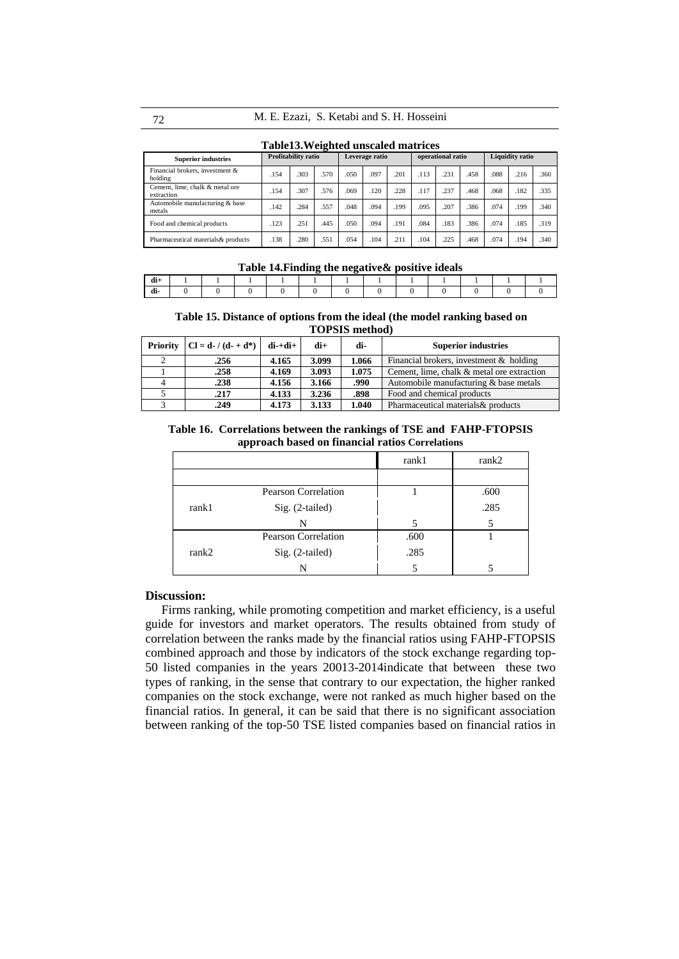| Table13. Weighted unscaled matrices |
|-------------------------------------|
|-------------------------------------|

| <b>Superior industries</b>                    | Profitability ratio |      |      | Leverage ratio |      |      | operational ratio |      |      | <b>Liquidity ratio</b> |      |      |
|-----------------------------------------------|---------------------|------|------|----------------|------|------|-------------------|------|------|------------------------|------|------|
| Financial brokers, investment &<br>holding    | .154                | 303  | .570 | .050           | .097 | .201 | .113              | .231 | .458 | .088                   | .216 | .360 |
| Cement, lime, chalk & metal ore<br>extraction | .154                | 307  | .576 | .069           | .120 | .228 | .117              | .237 | .468 | .068                   | .182 | .335 |
| Automobile manufacturing & base<br>metals     | .142                | 284  | .557 | .048           | .094 | .199 | .095              | .207 | .386 | .074                   | .199 | .340 |
| Food and chemical products                    | .123                | 251  | .445 | .050           | .094 | .191 | .084              | .183 | .386 | .074                   | .185 | .319 |
| Pharmaceutical materials & products           | .138                | .280 | .551 | .054           | .104 | .211 | .104              | .225 | .468 | .074                   | .194 | .340 |

**Table 14.Finding the negative& positive ideals**

| ar |  |
|----|--|

**Table 15. Distance of options from the ideal (the model ranking based on TOPSIS method)**

| Priority $ Cl = d - / (d - d^*)$ | di-+di+ | di+   | di-   | <b>Superior industries</b>                 |
|----------------------------------|---------|-------|-------|--------------------------------------------|
| .256                             | 4.165   | 3.099 | 1.066 | Financial brokers, investment & holding    |
| .258                             | 4.169   | 3.093 | 1.075 | Cement, lime, chalk & metal ore extraction |
| .238                             | 4.156   | 3.166 | .990  | Automobile manufacturing & base metals     |
| .217                             | 4.133   | 3.236 | .898  | Food and chemical products                 |
| .249                             | 4.173   | 3.133 | 1.040 | Pharmaceutical materials & products        |

**Table 16. Correlations between the rankings of TSE and FAHP-FTOPSIS approach based on financial ratios Correlations**

|       |                            | rank1 | rank2 |
|-------|----------------------------|-------|-------|
|       |                            |       |       |
|       | <b>Pearson Correlation</b> |       | .600  |
| rank1 | $Sig. (2-tailed)$          |       | .285  |
|       | N                          |       |       |
|       | <b>Pearson Correlation</b> | .600  |       |
| rank2 | Sig. (2-tailed)            | .285  |       |
|       | N                          |       |       |

## **Discussion:**

Firms ranking, while promoting competition and market efficiency, is a useful guide for investors and market operators. The results obtained from study of correlation between the ranks made by the financial ratios using FAHP-FTOPSIS combined approach and those by indicators of the stock exchange regarding top-50 listed companies in the years 20013-2014indicate that between these two types of ranking, in the sense that contrary to our expectation, the higher ranked companies on the stock exchange, were not ranked as much higher based on the financial ratios. In general, it can be said that there is no significant association between ranking of the top-50 TSE listed companies based on financial ratios in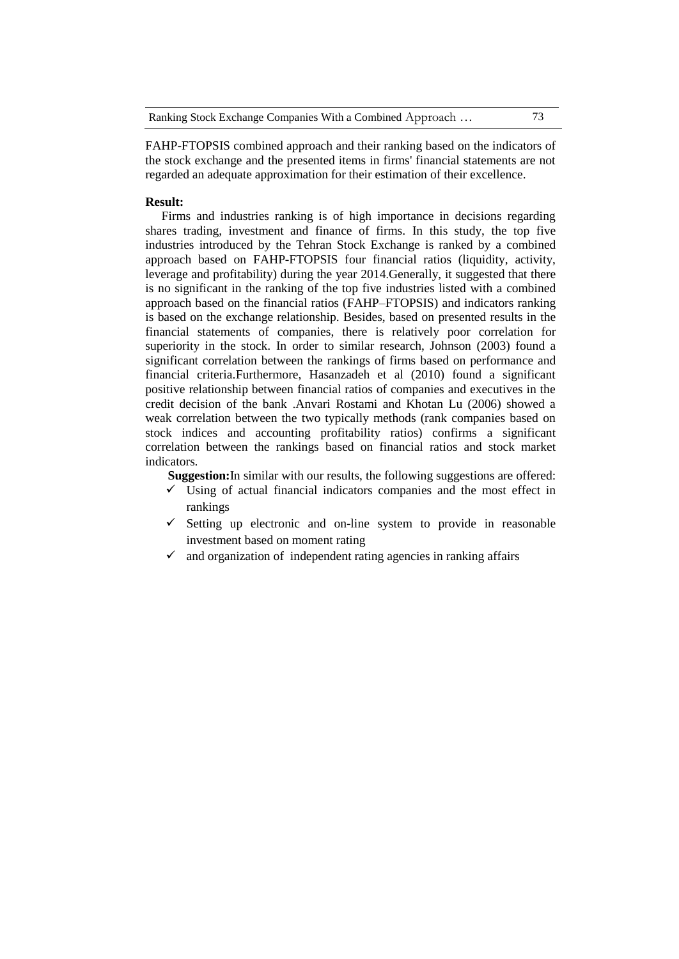FAHP-FTOPSIS combined approach and their ranking based on the indicators of the stock exchange and the presented items in firms' financial statements are not regarded an adequate approximation for their estimation of their excellence.

#### **Result:**

Firms and industries ranking is of high importance in decisions regarding shares trading, investment and finance of firms. In this study, the top five industries introduced by the Tehran Stock Exchange is ranked by a combined approach based on FAHP-FTOPSIS four financial ratios (liquidity, activity, leverage and profitability) during the year 2014.Generally, it suggested that there is no significant in the ranking of the top five industries listed with a combined approach based on the financial ratios (FAHP–FTOPSIS) and indicators ranking is based on the exchange relationship. Besides, based on presented results in the financial statements of companies, there is relatively poor correlation for superiority in the stock. In order to similar research, Johnson (2003) found a significant correlation between the rankings of firms based on performance and financial criteria.Furthermore, Hasanzadeh et al (2010) found a significant positive relationship between financial ratios of companies and executives in the credit decision of the bank .Anvari Rostami and Khotan Lu (2006) showed a weak correlation between the two typically methods (rank companies based on stock indices and accounting profitability ratios) confirms a significant correlation between the rankings based on financial ratios and stock market indicators.

**Suggestion:**In similar with our results, the following suggestions are offered:

- $\checkmark$  Using of actual financial indicators companies and the most effect in rankings
- $\checkmark$  Setting up electronic and on-line system to provide in reasonable investment based on moment rating
- $\checkmark$  and organization of independent rating agencies in ranking affairs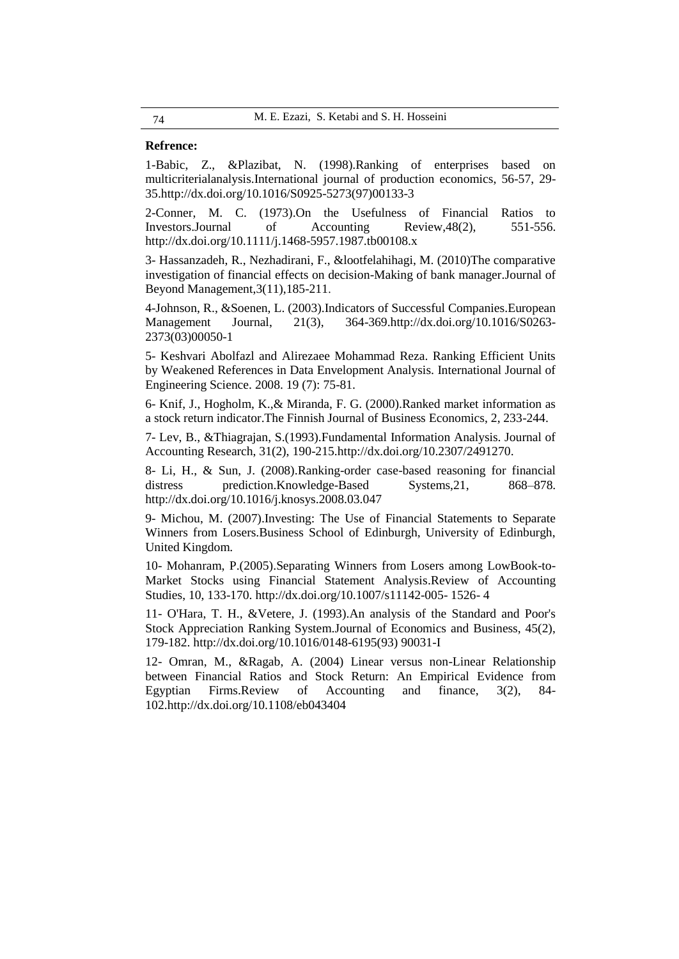## **Refrence:**

1-Babic, Z., &Plazibat, N. (1998).Ranking of enterprises based on multicriterialanalysis.International journal of production economics, 56-57, 29- 35[.http://dx.doi.org/10.1016/S0925-5273\(97\)00133-3](http://dx.doi.org/10.1016/S0925-5273(97)00133-3)

2-Conner, M. C. (1973).On the Usefulness of Financial Ratios to Investors.Journal of Accounting Review,48(2), 551-556. <http://dx.doi.org/10.1111/j.1468-5957.1987.tb00108.x>

3- Hassanzadeh, R., Nezhadirani, F., &lootfelahihagi, M. (2010)The comparative investigation of financial effects on decision-Making of bank manager.Journal of Beyond Management,3(11),185-211.

4-Johnson, R., &Soenen, L. (2003).Indicators of Successful Companies.European Management Journal, 21(3), 364-369[.http://dx.doi.org/10.1016/S0263-](http://dx.doi.org/10.1016/S0263-2373(03)00050-1) [2373\(03\)00050-1](http://dx.doi.org/10.1016/S0263-2373(03)00050-1)

5- Keshvari Abolfazl and Alirezaee Mohammad Reza. Ranking Efficient Units by Weakened References in Data Envelopment Analysis. International Journal of Engineering Science. 2008. 19 (7): 75-81.

6- Knif, J., Hogholm, K.,& Miranda, F. G. (2000).Ranked market information as a stock return indicator.The Finnish Journal of Business Economics, 2, 233-244.

7- Lev, B., &Thiagrajan, S.(1993).Fundamental Information Analysis. Journal of Accounting Research, 31(2), 190-215[.http://dx.doi.org/10.2307/2491270.](http://dx.doi.org/10.2307/2491270)

8- Li, H., & Sun, J. (2008).Ranking-order case-based reasoning for financial distress prediction.Knowledge-Based Systems, 21, 868–878. <http://dx.doi.org/10.1016/j.knosys.2008.03.047>

9- Michou, M. (2007).Investing: The Use of Financial Statements to Separate Winners from Losers.Business School of Edinburgh, University of Edinburgh, United Kingdom.

10- Mohanram, P.(2005)[.Separating Winners from Losers among LowBook-to-](http://www.springerlink.com/index/p1870x8v48063868.pdf)[Market Stocks using Financial Statement Analysis.](http://www.springerlink.com/index/p1870x8v48063868.pdf)Review of Accounting Studies, 10, 133-170. [http://dx.doi.org/10.1007/s11142-005-](http://dx.doi.org/10.1007/s11142-005-%201526-%204) 1526- 4

11- O'Hara, T. H., &Vetere, J. (1993).An analysis of the Standard and Poor's Stock Appreciation Ranking System.Journal of Economics and Business, 45(2), 179-182. [http://dx.doi.org/10.1016/0148-6195\(93\) 90031-I](http://dx.doi.org/10.1016/0148-6195(93)%2090031-I)

12- Omran, M., &Ragab, A. (2004) Linear versus non-Linear Relationship between Financial Ratios and Stock Return: An Empirical Evidence from Egyptian Firms.Review of Accounting and finance, 3(2), 84- 102[.http://dx.doi.org/10.1108/eb043404](http://dx.doi.org/10.1108/eb043404)